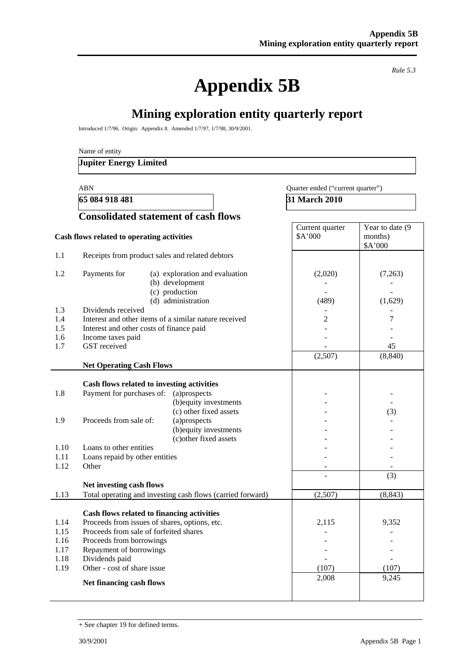**Appendix 5B** 

*Rule 5.3* 

# **Mining exploration entity quarterly report**

Introduced 1/7/96. Origin: Appendix 8. Amended 1/7/97, 1/7/98, 30/9/2001.

Name of entity

#### **Jupiter Energy Limited**

#### ABN Quarter ended ("current quarter")

**65 084 918 481** 31 March 2010

|                                                                                                                                                                                                                                                        | <b>Consolidated statement of cash flows</b>                                                                          |                            |                                        |
|--------------------------------------------------------------------------------------------------------------------------------------------------------------------------------------------------------------------------------------------------------|----------------------------------------------------------------------------------------------------------------------|----------------------------|----------------------------------------|
| Cash flows related to operating activities                                                                                                                                                                                                             |                                                                                                                      | Current quarter<br>\$A'000 | Year to date (9)<br>months)<br>\$A'000 |
| 1.1                                                                                                                                                                                                                                                    | Receipts from product sales and related debtors                                                                      |                            |                                        |
| 1.2<br>Payments for                                                                                                                                                                                                                                    | (a) exploration and evaluation<br>(b) development<br>(c) production<br>(d) administration                            | (2,020)<br>(489)           | (7,263)<br>(1,629)                     |
| 1.3<br>Dividends received<br>1.4<br>1.5<br>Interest and other costs of finance paid<br>1.6<br>Income taxes paid<br><b>GST</b> received<br>1.7                                                                                                          | Interest and other items of a similar nature received                                                                | $\overline{2}$             | $\tau$<br>45                           |
| <b>Net Operating Cash Flows</b>                                                                                                                                                                                                                        |                                                                                                                      | (2,507)                    | (8, 840)                               |
| Cash flows related to investing activities<br>Payment for purchases of: (a)prospects<br>1.8<br>Proceeds from sale of:<br>1.9<br>1.10<br>Loans to other entities<br>1.11<br>Loans repaid by other entities<br>1.12<br>Other<br>Net investing cash flows | (b) equity investments<br>(c) other fixed assets<br>(a)prospects<br>(b) equity investments<br>(c) other fixed assets |                            | (3)<br>(3)                             |
| 1.13                                                                                                                                                                                                                                                   | Total operating and investing cash flows (carried forward)                                                           | (2,507)                    | (8, 843)                               |
| Cash flows related to financing activities<br>1.14<br>Proceeds from sale of forfeited shares<br>1.15<br>Proceeds from borrowings<br>1.16<br>Repayment of borrowings<br>1.17<br>Dividends paid<br>1.18<br>Other - cost of share issue<br>1.19           | Proceeds from issues of shares, options, etc.                                                                        | 2,115<br>(107)<br>2,008    | 9,352<br>(107)<br>9,245                |
| Net financing cash flows                                                                                                                                                                                                                               |                                                                                                                      |                            |                                        |

<sup>+</sup> See chapter 19 for defined terms.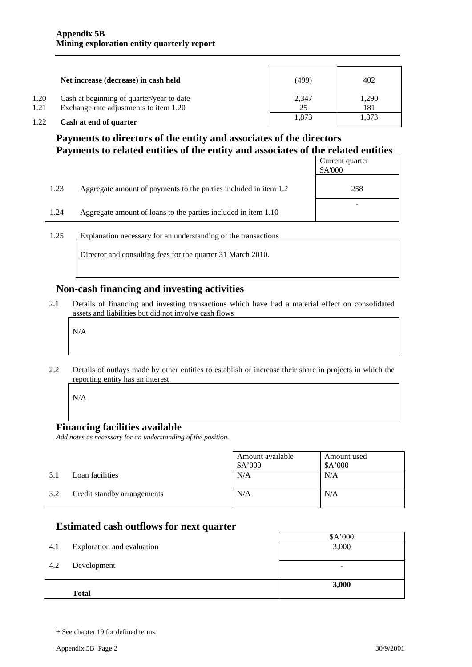|      | Net increase (decrease) in cash held      | (499) | 402   |
|------|-------------------------------------------|-------|-------|
| 1.20 | Cash at beginning of quarter/year to date | 2,347 | 1.290 |
| 1.21 | Exchange rate adjustments to item 1.20    | 25    | 181   |
| 1.22 | Cash at end of quarter                    | 1.873 | 1,873 |

## **Payments to directors of the entity and associates of the directors Payments to related entities of the entity and associates of the related entities**

|      |                                                                  | Current quarter<br>\$A'000 |
|------|------------------------------------------------------------------|----------------------------|
| 1.23 | Aggregate amount of payments to the parties included in item 1.2 | 258                        |
| 1.24 | Aggregate amount of loans to the parties included in item 1.10   |                            |

1.25 Explanation necessary for an understanding of the transactions

Director and consulting fees for the quarter 31 March 2010.

### **Non-cash financing and investing activities**

2.1 Details of financing and investing transactions which have had a material effect on consolidated assets and liabilities but did not involve cash flows

N/A

2.2 Details of outlays made by other entities to establish or increase their share in projects in which the reporting entity has an interest

N/A

### **Financing facilities available**

*Add notes as necessary for an understanding of the position.* 

|     |                             | Amount available<br>A'000 | Amount used<br>\$A'000 |
|-----|-----------------------------|---------------------------|------------------------|
| 3.1 | Loan facilities             | N/A                       | N/A                    |
| 3.2 | Credit standby arrangements | N/A                       | N/A                    |

## **Estimated cash outflows for next quarter**

| 4.1 | Exploration and evaluation | \$A'000<br>3,000         |
|-----|----------------------------|--------------------------|
| 4.2 | Development                | $\overline{\phantom{0}}$ |
|     | <b>Total</b>               | 3,000                    |

<sup>+</sup> See chapter 19 for defined terms.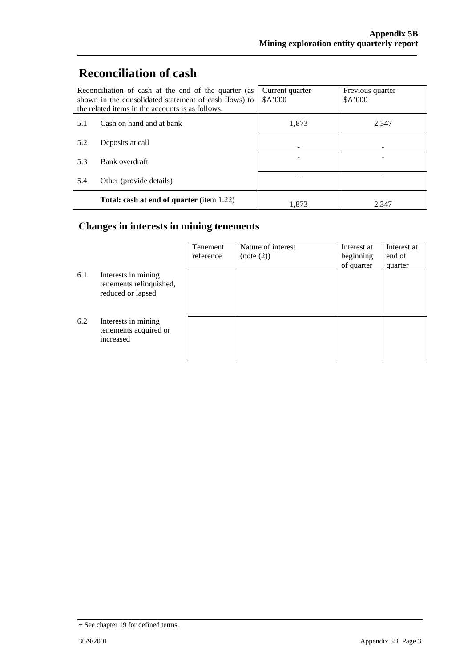# **Reconciliation of cash**

|                                 | Reconciliation of cash at the end of the quarter (as<br>shown in the consolidated statement of cash flows) to<br>the related items in the accounts is as follows. | Current quarter<br>A'000 | Previous quarter<br>A'000 |
|---------------------------------|-------------------------------------------------------------------------------------------------------------------------------------------------------------------|--------------------------|---------------------------|
| Cash on hand and at bank<br>5.1 |                                                                                                                                                                   | 1,873                    | 2,347                     |
| 5.2                             | Deposits at call                                                                                                                                                  |                          |                           |
| 5.3                             | Bank overdraft                                                                                                                                                    |                          |                           |
| 5.4                             | Other (provide details)                                                                                                                                           |                          |                           |
|                                 | <b>Total: cash at end of quarter (item 1.22)</b>                                                                                                                  | 1.873                    | 2.347                     |

## **Changes in interests in mining tenements**

|     |                                                                     | Tenement<br>reference | Nature of interest<br>(note (2)) | Interest at<br>beginning<br>of quarter | Interest at<br>end of<br>quarter |
|-----|---------------------------------------------------------------------|-----------------------|----------------------------------|----------------------------------------|----------------------------------|
| 6.1 | Interests in mining<br>tenements relinquished,<br>reduced or lapsed |                       |                                  |                                        |                                  |
| 6.2 | Interests in mining<br>tenements acquired or<br>increased           |                       |                                  |                                        |                                  |

<sup>+</sup> See chapter 19 for defined terms.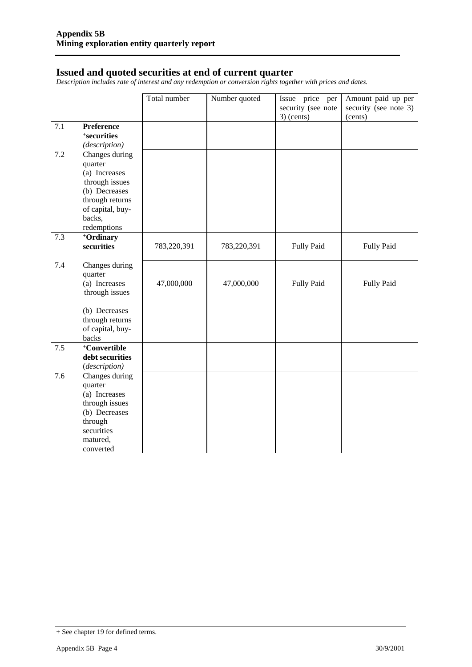#### **Issued and quoted securities at end of current quarter**

*Description includes rate of interest and any redemption or conversion rights together with prices and dates.* 

|     |                                                                                                                                 | Total number | Number quoted | Issue price per<br>security (see note | Amount paid up per<br>security (see note 3) |
|-----|---------------------------------------------------------------------------------------------------------------------------------|--------------|---------------|---------------------------------------|---------------------------------------------|
| 7.1 | <b>Preference</b><br>+securities<br>(description)                                                                               |              |               | $3)$ (cents)                          | (cents)                                     |
| 7.2 | Changes during<br>quarter<br>(a) Increases<br>through issues<br>(b) Decreases<br>through returns<br>of capital, buy-<br>backs,  |              |               |                                       |                                             |
|     | redemptions                                                                                                                     |              |               |                                       |                                             |
| 7.3 | +Ordinary<br>securities                                                                                                         | 783,220,391  | 783,220,391   | <b>Fully Paid</b>                     | <b>Fully Paid</b>                           |
| 7.4 | Changes during<br>quarter<br>(a) Increases<br>through issues<br>(b) Decreases<br>through returns                                | 47,000,000   | 47,000,000    | <b>Fully Paid</b>                     | Fully Paid                                  |
|     | of capital, buy-                                                                                                                |              |               |                                       |                                             |
|     | backs                                                                                                                           |              |               |                                       |                                             |
| 7.5 | +Convertible<br>debt securities<br>(description)                                                                                |              |               |                                       |                                             |
| 7.6 | Changes during<br>quarter<br>(a) Increases<br>through issues<br>(b) Decreases<br>through<br>securities<br>matured,<br>converted |              |               |                                       |                                             |

<sup>+</sup> See chapter 19 for defined terms.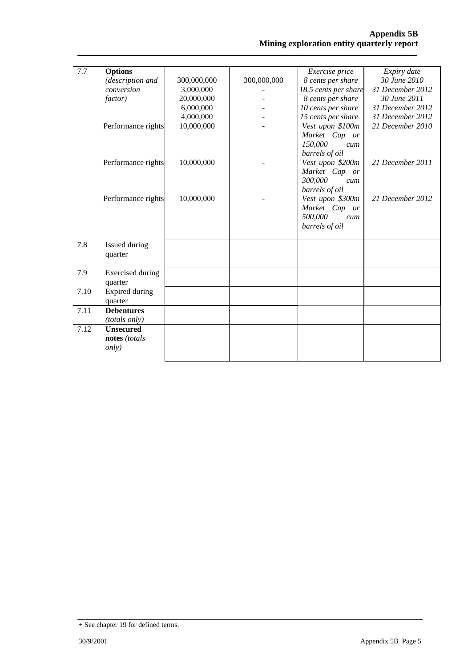| 7.7  | <b>Options</b>          |             |             | Exercise price          | Expiry date      |
|------|-------------------------|-------------|-------------|-------------------------|------------------|
|      | (description and        | 300,000,000 | 300,000,000 | 8 cents per share       | 30 June 2010     |
|      | conversion              | 3,000,000   |             | 18.5 cents per share    | 31 December 2012 |
|      | <i>factor</i> )         | 20,000,000  |             | 8 cents per share       | 30 June 2011     |
|      |                         | 6,000,000   |             | 10 cents per share      | 31 December 2012 |
|      |                         | 4,000,000   |             | 15 cents per share      | 31 December 2012 |
|      | Performance rights      | 10,000,000  |             | Vest upon \$100m        | 21 December 2010 |
|      |                         |             |             | Market Cap or           |                  |
|      |                         |             |             | 150,000<br>cum          |                  |
|      |                         |             |             | barrels of oil          |                  |
|      | Performance rights      | 10,000,000  |             | Vest upon \$200m        | 21 December 2011 |
|      |                         |             |             | Market Cap or           |                  |
|      |                         |             |             | 300,000<br>cum          |                  |
|      |                         |             |             | barrels of oil          |                  |
|      | Performance rights      | 10,000,000  |             | Vest upon \$300m        | 21 December 2012 |
|      |                         |             |             | Market Cap<br><i>or</i> |                  |
|      |                         |             |             | 500,000<br>cum          |                  |
|      |                         |             |             | barrels of oil          |                  |
|      |                         |             |             |                         |                  |
| 7.8  | Issued during           |             |             |                         |                  |
|      | quarter                 |             |             |                         |                  |
|      |                         |             |             |                         |                  |
| 7.9  | <b>Exercised</b> during |             |             |                         |                  |
|      | quarter                 |             |             |                         |                  |
| 7.10 | Expired during          |             |             |                         |                  |
|      | quarter                 |             |             |                         |                  |
| 7.11 | <b>Debentures</b>       |             |             |                         |                  |
|      | (totals only)           |             |             |                         |                  |
| 7.12 | <b>Unsecured</b>        |             |             |                         |                  |
|      | notes (totals           |             |             |                         |                  |
|      | <i>only</i> )           |             |             |                         |                  |
|      |                         |             |             |                         |                  |
|      |                         |             |             |                         |                  |

<sup>+</sup> See chapter 19 for defined terms.